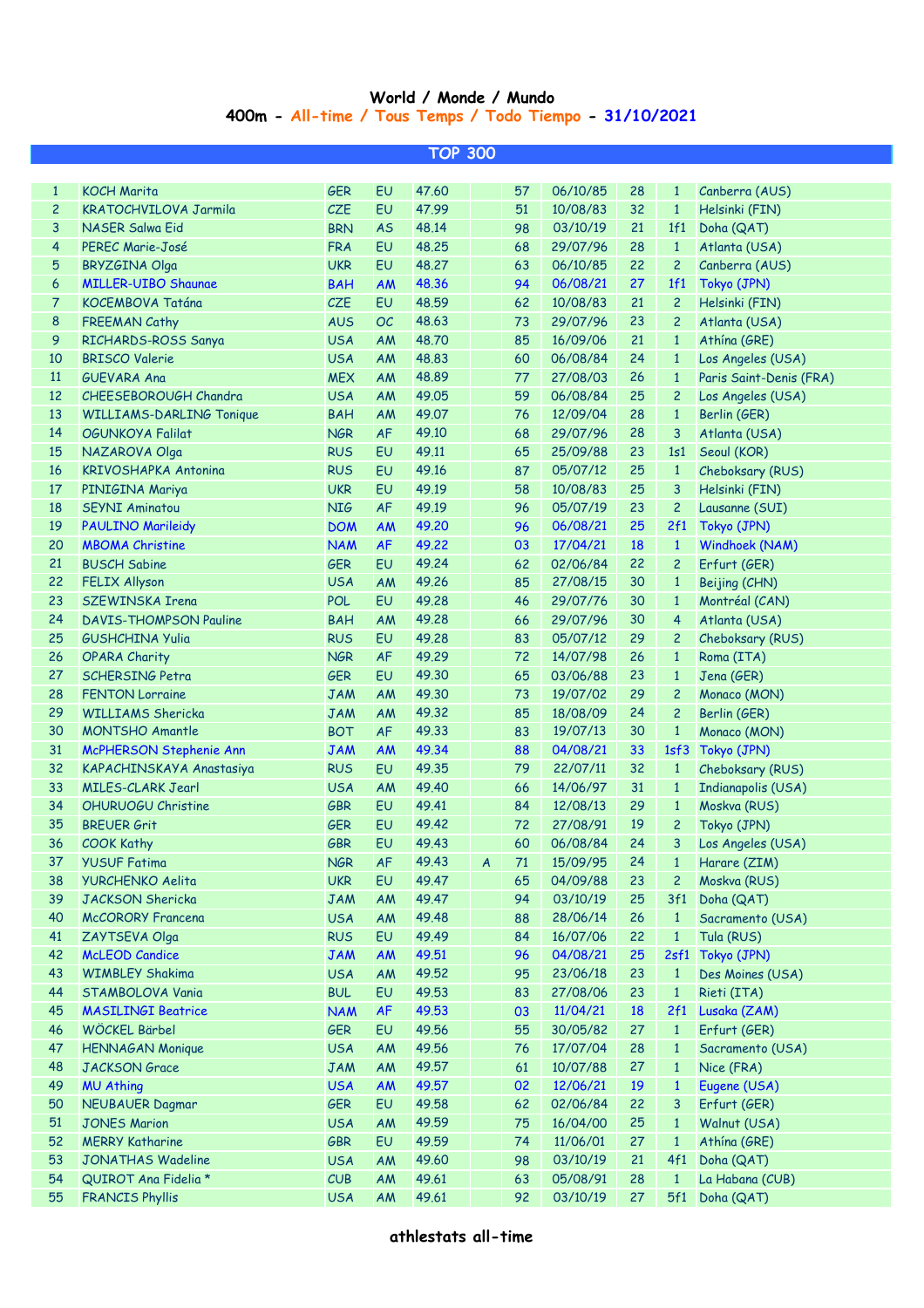## **400m - All-time / Tous Temps / Todo Tiempo - 31/10/2021 World / Monde / Mundo**

| <b>TOP 300</b>  |                                 |            |           |          |                  |    |                  |           |                |                         |
|-----------------|---------------------------------|------------|-----------|----------|------------------|----|------------------|-----------|----------------|-------------------------|
|                 |                                 |            |           |          |                  |    |                  |           |                |                         |
| $\mathbf{1}$    | <b>KOCH Marita</b>              | <b>GER</b> | <b>EU</b> | 47.60    |                  | 57 | 06/10/85         | 28        | $\mathbf{1}$   | Canberra (AUS)          |
| $\mathbf{2}$    | <b>KRATOCHVILOVA Jarmila</b>    | CZE        | EU        | 47.99    |                  | 51 | 10/08/83         | 32        | $\mathbf{1}$   | Helsinki (FIN)          |
| 3               | <b>NASER Salwa Eid</b>          | <b>BRN</b> | <b>AS</b> | 48.14    |                  | 98 | 03/10/19         | 21        | 1f1            | Doha (QAT)              |
| 4               | PEREC Marie-José                | <b>FRA</b> | EU        | 48.25    |                  | 68 | 29/07/96         | 28        | $\mathbf{1}$   | Atlanta (USA)           |
| 5               | <b>BRYZGINA Olga</b>            | <b>UKR</b> | EU        | 48.27    |                  | 63 | 06/10/85         | 22        | $\overline{2}$ | Canberra (AUS)          |
| 6               | <b>MILLER-UIBO Shaunae</b>      | <b>BAH</b> | <b>AM</b> | 48.36    |                  | 94 | 06/08/21         | 27        | 1f1            | Tokyo (JPN)             |
| $\overline{7}$  | KOCEMBOVA Tatána                | CZE        | EU        | 48.59    |                  | 62 | 10/08/83         | 21        | $\mathbf{2}$   | Helsinki (FIN)          |
| 8               | <b>FREEMAN Cathy</b>            | <b>AUS</b> | OC        | 48.63    |                  | 73 | 29/07/96         | 23        | $\overline{c}$ | Atlanta (USA)           |
| 9               | RICHARDS-ROSS Sanya             | <b>USA</b> | AM        | 48.70    |                  | 85 | 16/09/06         | 21        | 1              | Athína (GRE)            |
| 10              | <b>BRISCO Valerie</b>           | <b>USA</b> | AM        | 48.83    |                  | 60 | 06/08/84         | 24        | $\mathbf{1}$   | Los Angeles (USA)       |
| 11              | <b>GUEVARA Ana</b>              | <b>MEX</b> | AM        | 48.89    |                  | 77 | 27/08/03         | 26        | $\mathbf{1}$   | Paris Saint-Denis (FRA) |
| 12              | CHEESEBOROUGH Chandra           | <b>USA</b> | AM        | 49.05    |                  | 59 | 06/08/84         | 25        | $\mathbf{2}$   | Los Angeles (USA)       |
| 13              | <b>WILLIAMS-DARLING Tonique</b> | <b>BAH</b> | AM        | 49.07    |                  | 76 | 12/09/04         | 28        | $\mathbf{1}$   | Berlin (GER)            |
| 14              | OGUNKOYA Falilat                | <b>NGR</b> | <b>AF</b> | 49.10    |                  | 68 | 29/07/96         | 28        | 3              | Atlanta (USA)           |
| 15              | NAZAROVA Olga                   | <b>RUS</b> | EU        | 49.11    |                  | 65 | 25/09/88         | 23        | 1s1            | Seoul (KOR)             |
| 16              | <b>KRIVOSHAPKA Antonina</b>     | <b>RUS</b> | EU        | 49.16    |                  | 87 | 05/07/12         | 25        | $\mathbf{1}$   | Cheboksary (RUS)        |
| 17              | PINIGINA Mariya                 | <b>UKR</b> | EU        | 49.19    |                  | 58 | 10/08/83         | 25        | 3              | Helsinki (FIN)          |
| 18              | <b>SEYNI Aminatou</b>           | <b>NIG</b> | <b>AF</b> | 49.19    |                  | 96 | 05/07/19         | 23        | $\overline{c}$ | Lausanne (SUI)          |
| 19              | <b>PAULINO Marileidy</b>        | <b>DOM</b> | AM        | 49.20    |                  | 96 | 06/08/21         | 25        | 2f1            | Tokyo (JPN)             |
| 20              | <b>MBOMA Christine</b>          | <b>NAM</b> | <b>AF</b> | 49.22    |                  | 03 | 17/04/21         | <b>18</b> | $\mathbf{1}$   | Windhoek (NAM)          |
| 21              | <b>BUSCH Sabine</b>             | <b>GER</b> | EU        | 49.24    |                  | 62 | 02/06/84         | 22        | $\overline{2}$ | Erfurt (GER)            |
| 22              | <b>FELIX Allyson</b>            | <b>USA</b> | <b>AM</b> | 49.26    |                  | 85 | 27/08/15         | 30        | $\mathbf{1}$   | Beijing (CHN)           |
| 23              | <b>SZEWINSKA Irena</b>          | <b>POL</b> | EU        | 49.28    |                  | 46 | 29/07/76         | 30        | $\mathbf{1}$   | Montréal (CAN)          |
| 24              | <b>DAVIS-THOMPSON Pauline</b>   | <b>BAH</b> | <b>AM</b> | 49.28    |                  | 66 | 29/07/96         | 30        | $\overline{4}$ | Atlanta (USA)           |
| 25              | <b>GUSHCHINA Yulia</b>          | <b>RUS</b> | EU        | 49.28    |                  | 83 | 05/07/12         | 29        | $\overline{c}$ | Cheboksary (RUS)        |
| 26              | <b>OPARA Charity</b>            | <b>NGR</b> | <b>AF</b> | 49.29    |                  | 72 | 14/07/98         | 26        | $\mathbf{1}$   | Roma (ITA)              |
| 27              | <b>SCHERSING Petra</b>          | <b>GER</b> | EU        | 49.30    |                  | 65 | 03/06/88         | 23        | $\mathbf{1}$   | Jena (GER)              |
| 28              | <b>FENTON Lorraine</b>          | <b>JAM</b> | AM        | 49.30    |                  | 73 | 19/07/02         | 29        | $\overline{c}$ | Monaco (MON)            |
| 29              | <b>WILLIAMS Shericka</b>        | <b>JAM</b> | AM        | 49.32    |                  | 85 | 18/08/09         | 24        | $\overline{c}$ | Berlin (GER)            |
| 30              | <b>MONTSHO Amantle</b>          | <b>BOT</b> | <b>AF</b> | 49.33    |                  | 83 | 19/07/13         | 30        | $\mathbf{1}$   | Monaco (MON)            |
| 31              | McPHERSON Stephenie Ann         | <b>JAM</b> | <b>AM</b> | 49.34    |                  | 88 | 04/08/21         | 33        |                | 1sf3 Tokyo (JPN)        |
| 32              | KAPACHINSKAYA Anastasiya        | <b>RUS</b> | EU        | 49.35    |                  | 79 | 22/07/11         | 32        | $\mathbf{1}$   | Cheboksary (RUS)        |
| 33              | <b>MILES-CLARK Jearl</b>        | <b>USA</b> | AM        | 49.40    |                  | 66 | 14/06/97         | 31        | $\mathbf{1}$   | Indianapolis (USA)      |
| 34              | <b>OHURUOGU Christine</b>       | <b>GBR</b> | EU        | 49.41    |                  | 84 | 12/08/13         | 29        | $\mathbf{1}$   | Moskva (RUS)            |
| 35              | <b>BREUER Grit</b>              | <b>GER</b> | EU        | 49.42    |                  | 72 | 27/08/91         | 19        | $\overline{2}$ | Tokyo (JPN)             |
| 36 <sup>°</sup> | <b>COOK Kathy</b>               | GBR        |           | EU 49.43 |                  |    | 60  06/08/84  24 |           |                | 3 Los Angeles (USA)     |
| 37              | <b>YUSUF Fatima</b>             | <b>NGR</b> | AF        | 49.43    | $\boldsymbol{A}$ | 71 | 15/09/95         | 24        | $\mathbf{1}$   | Harare (ZIM)            |
| 38              | <b>YURCHENKO Aelita</b>         | <b>UKR</b> | EU        | 49.47    |                  | 65 | 04/09/88         | 23        | $\overline{2}$ | Moskva (RUS)            |
| 39              | <b>JACKSON Shericka</b>         | <b>JAM</b> | AM        | 49.47    |                  | 94 | 03/10/19         | 25        | 3f1            | Doha (QAT)              |
| 40              | <b>McCORORY Francena</b>        | <b>USA</b> | AM        | 49.48    |                  | 88 | 28/06/14         | 26        | $\mathbf{1}$   | Sacramento (USA)        |
| 41              | ZAYTSEVA Olga                   | <b>RUS</b> | EU        | 49.49    |                  | 84 | 16/07/06         | 22        | $\mathbf{1}$   | Tula (RUS)              |
| 42              | <b>McLEOD Candice</b>           | <b>JAM</b> | <b>AM</b> | 49.51    |                  | 96 | 04/08/21         | 25        | 2sf1           | Tokyo (JPN)             |
| 43              | <b>WIMBLEY Shakima</b>          | <b>USA</b> | AM        | 49.52    |                  | 95 | 23/06/18         | 23        | $\mathbf{1}$   | Des Moines (USA)        |
| 44              | STAMBOLOVA Vania                | <b>BUL</b> | EU        | 49.53    |                  | 83 | 27/08/06         | 23        | $\mathbf{1}$   | Rieti (ITA)             |
| 45              | <b>MASILINGI Beatrice</b>       | <b>NAM</b> | AF        | 49.53    |                  | 03 | 11/04/21         | <b>18</b> | 2f1            | Lusaka (ZAM)            |
| 46              | WÖCKEL Bärbel                   | <b>GER</b> | EU        | 49.56    |                  | 55 | 30/05/82         | 27        | $\mathbf{1}$   | Erfurt (GER)            |
| 47              | <b>HENNAGAN Monique</b>         | <b>USA</b> | AM        | 49.56    |                  | 76 | 17/07/04         | 28        | $\mathbf{1}$   | Sacramento (USA)        |
| 48              | <b>JACKSON</b> Grace            | <b>JAM</b> | AM        | 49.57    |                  | 61 | 10/07/88         | 27        | $\mathbf{1}$   | Nice (FRA)              |
| 49              | <b>MU Athing</b>                | <b>USA</b> | <b>AM</b> | 49.57    |                  | 02 | 12/06/21         | <b>19</b> | $\mathbf{1}$   | Eugene (USA)            |
| 50              | <b>NEUBAUER Dagmar</b>          | <b>GER</b> | EU        | 49.58    |                  | 62 | 02/06/84         | 22        | 3              | Erfurt (GER)            |
| 51              | <b>JONES Marion</b>             | <b>USA</b> | <b>AM</b> | 49.59    |                  | 75 | 16/04/00         | 25        | $\mathbf{1}$   | Walnut (USA)            |
| 52              | <b>MERRY Katharine</b>          | GBR        | EU        | 49.59    |                  | 74 | 11/06/01         | 27        | $\mathbf{1}$   | Athína (GRE)            |
| 53              | <b>JONATHAS Wadeline</b>        | <b>USA</b> | AM        | 49.60    |                  | 98 | 03/10/19         | 21        | 4f1            | Doha (QAT)              |
| 54              | QUIROT Ana Fidelia *            | CUB        | AM        | 49.61    |                  | 63 | 05/08/91         | 28        | $\mathbf{1}$   | La Habana (CUB)         |
| 55              | <b>FRANCIS Phyllis</b>          | <b>USA</b> | AM        | 49.61    |                  | 92 | 03/10/19         | 27        |                | 5f1 Doha (QAT)          |
|                 |                                 |            |           |          |                  |    |                  |           |                |                         |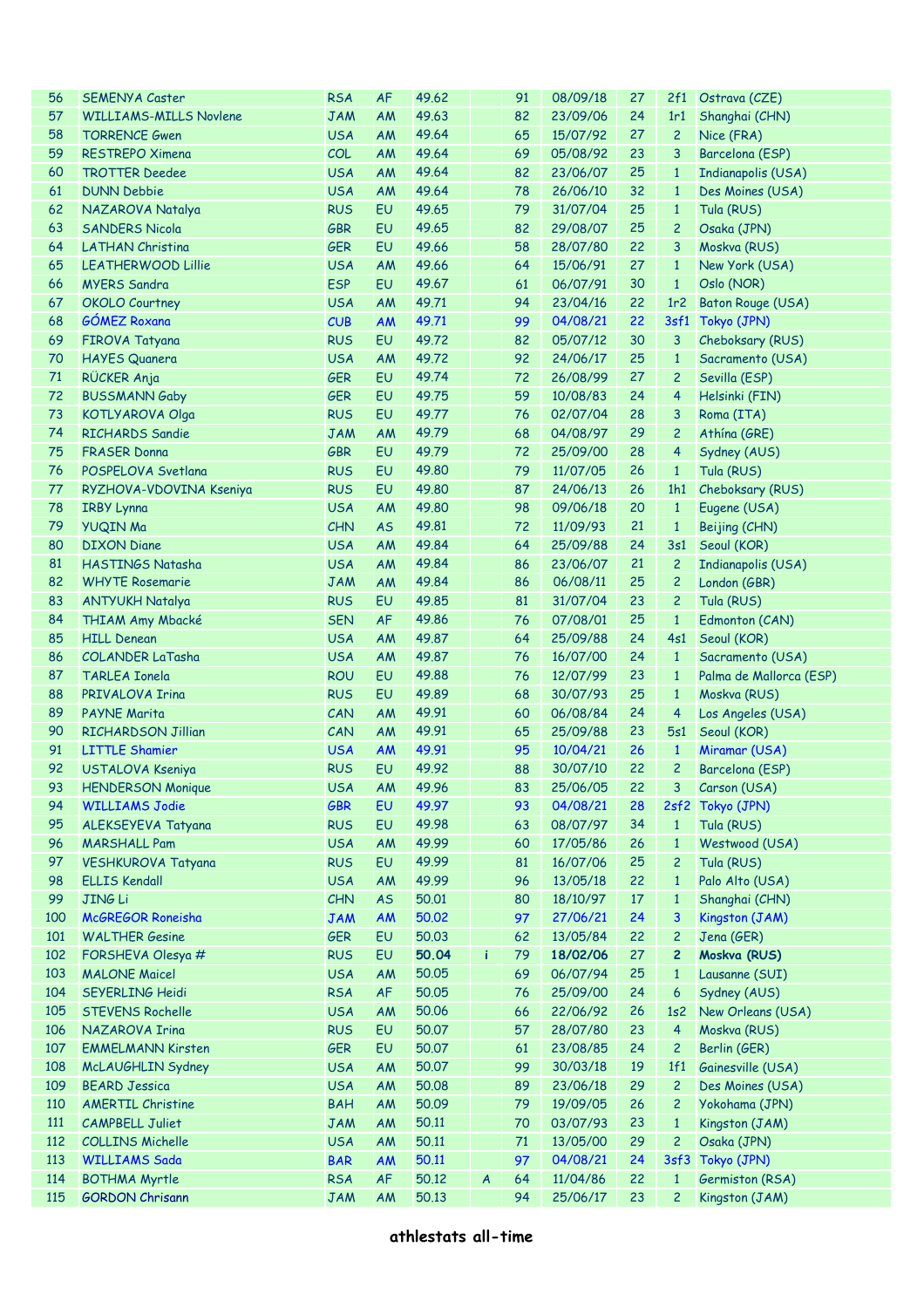| 56  | <b>SEMENYA Caster</b>                | <b>RSA</b> | <b>AF</b>              | 49.62 |                  | 91 | 08/09/18    | 27 | 2f1              | Ostrava (CZE)           |
|-----|--------------------------------------|------------|------------------------|-------|------------------|----|-------------|----|------------------|-------------------------|
| 57  | <b>WILLIAMS-MILLS Novlene</b>        | <b>JAM</b> | AM                     | 49.63 |                  | 82 | 23/09/06    | 24 | 1r1              | Shanghai (CHN)          |
| 58  | <b>TORRENCE Gwen</b>                 | <b>USA</b> | AM                     | 49.64 |                  | 65 | 15/07/92    | 27 | $\overline{c}$   | Nice (FRA)              |
| 59  | <b>RESTREPO Ximena</b>               | COL        | AM                     | 49.64 |                  | 69 | 05/08/92    | 23 | 3                | Barcelona (ESP)         |
| 60  | <b>TROTTER Deedee</b>                | <b>USA</b> | AM                     | 49.64 |                  | 82 | 23/06/07    | 25 | $\mathbf{1}$     | Indianapolis (USA)      |
| 61  | <b>DUNN Debbie</b>                   | <b>USA</b> | AM                     | 49.64 |                  | 78 | 26/06/10    | 32 | $\mathbf{1}$     | Des Moines (USA)        |
| 62  | NAZAROVA Natalya                     | <b>RUS</b> | EU                     | 49.65 |                  | 79 | 31/07/04    | 25 | $\mathbf{1}$     | Tula (RUS)              |
| 63  | <b>SANDERS Nicola</b>                | <b>GBR</b> | EU                     | 49.65 |                  | 82 | 29/08/07    | 25 | $\overline{c}$   | Osaka (JPN)             |
| 64  | <b>LATHAN Christina</b>              | <b>GER</b> | EU                     | 49.66 |                  | 58 | 28/07/80    | 22 | 3                | Moskva (RUS)            |
| 65  | <b>LEATHERWOOD Lillie</b>            | <b>USA</b> | <b>AM</b>              | 49.66 |                  | 64 | 15/06/91    | 27 | $\mathbf{1}$     | New York (USA)          |
| 66  | <b>MYERS Sandra</b>                  | <b>ESP</b> | EU                     | 49.67 |                  | 61 | 06/07/91    | 30 | $\mathbf{1}$     | Oslo (NOR)              |
| 67  | <b>OKOLO Courtney</b>                | <b>USA</b> | <b>AM</b>              | 49.71 |                  | 94 | 23/04/16    | 22 | 1r2              | Baton Rouge (USA)       |
| 68  | <b>GÓMEZ Roxana</b>                  | CUB        | <b>AM</b>              | 49.71 |                  | 99 | 04/08/21    | 22 |                  | 3sf1 Tokyo (JPN)        |
| 69  | <b>FIROVA Tatyana</b>                | <b>RUS</b> | EU                     | 49.72 |                  | 82 | 05/07/12    | 30 | 3                | Cheboksary (RUS)        |
| 70  | <b>HAYES Quanera</b>                 | <b>USA</b> | <b>AM</b>              | 49.72 |                  | 92 | 24/06/17    | 25 | $\mathbf{1}$     | Sacramento (USA)        |
| 71  | RÜCKER Anja                          | <b>GER</b> | EU                     | 49.74 |                  | 72 | 26/08/99    | 27 | $\overline{c}$   | Sevilla (ESP)           |
| 72  | <b>BUSSMANN Gaby</b>                 | <b>GER</b> | EU                     | 49.75 |                  | 59 | 10/08/83    | 24 | 4                | Helsinki (FIN)          |
| 73  | <b>KOTLYAROVA Olga</b>               | <b>RUS</b> | EU                     | 49.77 |                  | 76 | 02/07/04    | 28 | 3                | Roma (ITA)              |
| 74  | <b>RICHARDS Sandie</b>               | <b>JAM</b> | <b>AM</b>              | 49.79 |                  | 68 | 04/08/97    | 29 | $\overline{c}$   | Athina (GRE)            |
| 75  | <b>FRASER Donna</b>                  | <b>GBR</b> | EU                     | 49.79 |                  | 72 | 25/09/00    | 28 | 4                | Sydney (AUS)            |
| 76  | POSPELOVA Svetlana                   | <b>RUS</b> | EU                     | 49.80 |                  | 79 | 11/07/05    | 26 | $\mathbf{1}$     | Tula (RUS)              |
| 77  | RYZHOVA-VDOVINA Kseniya              | <b>RUS</b> | EU                     | 49.80 |                  | 87 | 24/06/13    | 26 | 1h1              | Cheboksary (RUS)        |
| 78  |                                      |            |                        | 49.80 |                  | 98 | 09/06/18    | 20 | $\mathbf{1}$     |                         |
| 79  | <b>IRBY Lynna</b><br><b>YUQIN Ma</b> | <b>USA</b> | <b>AM</b><br><b>AS</b> | 49.81 |                  | 72 |             | 21 | $\mathbf{1}$     | Eugene (USA)            |
|     |                                      | <b>CHN</b> |                        |       |                  |    | 11/09/93    |    |                  | Beijing (CHN)           |
| 80  | <b>DIXON Diane</b>                   | <b>USA</b> | AM                     | 49.84 |                  | 64 | 25/09/88    | 24 | 3s1              | Seoul (KOR)             |
| 81  | HASTINGS Natasha                     | <b>USA</b> | AM                     | 49.84 |                  | 86 | 23/06/07    | 21 | $\overline{c}$   | Indianapolis (USA)      |
| 82  | <b>WHYTE Rosemarie</b>               | <b>JAM</b> | AM                     | 49.84 |                  | 86 | 06/08/11    | 25 | $\overline{c}$   | London (GBR)            |
| 83  | <b>ANTYUKH Natalya</b>               | <b>RUS</b> | EU                     | 49.85 |                  | 81 | 31/07/04    | 23 | $\overline{c}$   | Tula (RUS)              |
| 84  | <b>THIAM Amy Mbacké</b>              | <b>SEN</b> | <b>AF</b>              | 49.86 |                  | 76 | 07/08/01    | 25 | $\mathbf{1}$     | Edmonton (CAN)          |
| 85  | <b>HILL Denean</b>                   | <b>USA</b> | AM                     | 49.87 |                  | 64 | 25/09/88    | 24 | 4s1              | Seoul (KOR)             |
| 86  | <b>COLANDER LaTasha</b>              | <b>USA</b> | AM                     | 49.87 |                  | 76 | 16/07/00    | 24 | $\mathbf{1}$     | Sacramento (USA)        |
| 87  | <b>TARLEA Ionela</b>                 | <b>ROU</b> | EU                     | 49.88 |                  | 76 | 12/07/99    | 23 | $\mathbf{1}$     | Palma de Mallorca (ESP) |
| 88  | <b>PRIVALOVA Irina</b>               | <b>RUS</b> | EU                     | 49.89 |                  | 68 | 30/07/93    | 25 | $\mathbf{1}$     | Moskva (RUS)            |
| 89  | <b>PAYNE Marita</b>                  | CAN        | <b>AM</b>              | 49.91 |                  | 60 | 06/08/84    | 24 | 4                | Los Angeles (USA)       |
| 90  | <b>RICHARDSON Jillian</b>            | CAN        | AM                     | 49.91 |                  | 65 | 25/09/88    | 23 | 5s1              | Seoul (KOR)             |
| 91  | <b>LITTLE Shamier</b>                | <b>USA</b> | <b>AM</b>              | 49.91 |                  | 95 | 10/04/21    | 26 | $\mathbf{1}$     | Miramar (USA)           |
| 92  | USTALOVA Kseniya                     | <b>RUS</b> | EU                     | 49.92 |                  | 88 | 30/07/10    | 22 | $\overline{c}$   | Barcelona (ESP)         |
| 93  | <b>HENDERSON Monique</b>             | <b>USA</b> | AM 49.96               |       |                  |    | 83 25/06/05 | 22 |                  | 3 Carson (USA)          |
| 94  | <b>WILLIAMS Jodie</b>                | <b>GBR</b> | EU                     | 49.97 |                  | 93 | 04/08/21    | 28 | 2sf2             | Tokyo (JPN)             |
| 95  | ALEKSEYEVA Tatyana                   | <b>RUS</b> | EU                     | 49.98 |                  | 63 | 08/07/97    | 34 | $\mathbf{1}$     | Tula (RUS)              |
| 96  | <b>MARSHALL Pam</b>                  | <b>USA</b> | <b>AM</b>              | 49.99 |                  | 60 | 17/05/86    | 26 | $\mathbf{1}$     | Westwood (USA)          |
| 97  | <b>VESHKUROVA Tatyana</b>            | <b>RUS</b> | EU                     | 49.99 |                  | 81 | 16/07/06    | 25 | $\overline{c}$   | Tula (RUS)              |
| 98  | <b>ELLIS Kendall</b>                 | <b>USA</b> | <b>AM</b>              | 49.99 |                  | 96 | 13/05/18    | 22 | $\mathbf{1}$     | Palo Alto (USA)         |
| 99  | <b>JING Li</b>                       | <b>CHN</b> | <b>AS</b>              | 50.01 |                  | 80 | 18/10/97    | 17 | $\mathbf{1}$     | Shanghai (CHN)          |
| 100 | McGREGOR Roneisha                    | <b>JAM</b> | <b>AM</b>              | 50.02 |                  | 97 | 27/06/21    | 24 | 3                | Kingston (JAM)          |
| 101 | <b>WALTHER Gesine</b>                | <b>GER</b> | EU                     | 50.03 |                  | 62 | 13/05/84    | 22 | $\overline{c}$   | Jena (GER)              |
| 102 | FORSHEVA Olesya #                    | <b>RUS</b> | EU                     | 50.04 | i                | 79 | 18/02/06    | 27 | $\overline{c}$   | Moskva (RUS)            |
| 103 | <b>MALONE Maicel</b>                 | <b>USA</b> | <b>AM</b>              | 50.05 |                  | 69 | 06/07/94    | 25 | $\mathbf{1}$     | Lausanne (SUI)          |
| 104 | <b>SEYERLING Heidi</b>               | <b>RSA</b> | AF                     | 50.05 |                  | 76 | 25/09/00    | 24 | $\boldsymbol{6}$ | Sydney (AUS)            |
| 105 | <b>STEVENS Rochelle</b>              | <b>USA</b> | AM                     | 50.06 |                  | 66 | 22/06/92    | 26 | 1s <sub>2</sub>  | New Orleans (USA)       |
| 106 | NAZAROVA Irina                       | <b>RUS</b> | EU                     | 50.07 |                  | 57 | 28/07/80    | 23 | $\overline{a}$   | Moskva (RUS)            |
| 107 | <b>EMMELMANN Kirsten</b>             | <b>GER</b> | EU                     | 50.07 |                  | 61 | 23/08/85    | 24 | $\overline{c}$   | Berlin (GER)            |
| 108 | McLAUGHLIN Sydney                    | <b>USA</b> | AM                     | 50.07 |                  | 99 | 30/03/18    | 19 | 1f1              | Gainesville (USA)       |
| 109 | <b>BEARD Jessica</b>                 | <b>USA</b> | <b>AM</b>              | 50.08 |                  | 89 | 23/06/18    | 29 | $\overline{c}$   | Des Moines (USA)        |
| 110 | <b>AMERTIL Christine</b>             | <b>BAH</b> | <b>AM</b>              | 50.09 |                  | 79 | 19/09/05    | 26 | $\overline{c}$   | Yokohama (JPN)          |
| 111 | <b>CAMPBELL Juliet</b>               | <b>JAM</b> | AM                     | 50.11 |                  | 70 | 03/07/93    | 23 | $\mathbf{1}$     | Kingston (JAM)          |
| 112 | <b>COLLINS Michelle</b>              | <b>USA</b> | <b>AM</b>              | 50.11 |                  | 71 | 13/05/00    | 29 | $\overline{c}$   | Osaka (JPN)             |
| 113 | <b>WILLIAMS Sada</b>                 | <b>BAR</b> | <b>AM</b>              | 50.11 |                  | 97 | 04/08/21    | 24 | 3sf3             | Tokyo (JPN)             |
| 114 | <b>BOTHMA Myrtle</b>                 | <b>RSA</b> | AF                     | 50.12 | $\boldsymbol{A}$ | 64 | 11/04/86    | 22 | $\mathbf{1}$     | Germiston (RSA)         |
| 115 | <b>GORDON Chrisann</b>               | <b>JAM</b> | AM                     | 50.13 |                  | 94 | 25/06/17    | 23 | $\overline{c}$   | Kingston (JAM)          |
|     |                                      |            |                        |       |                  |    |             |    |                  |                         |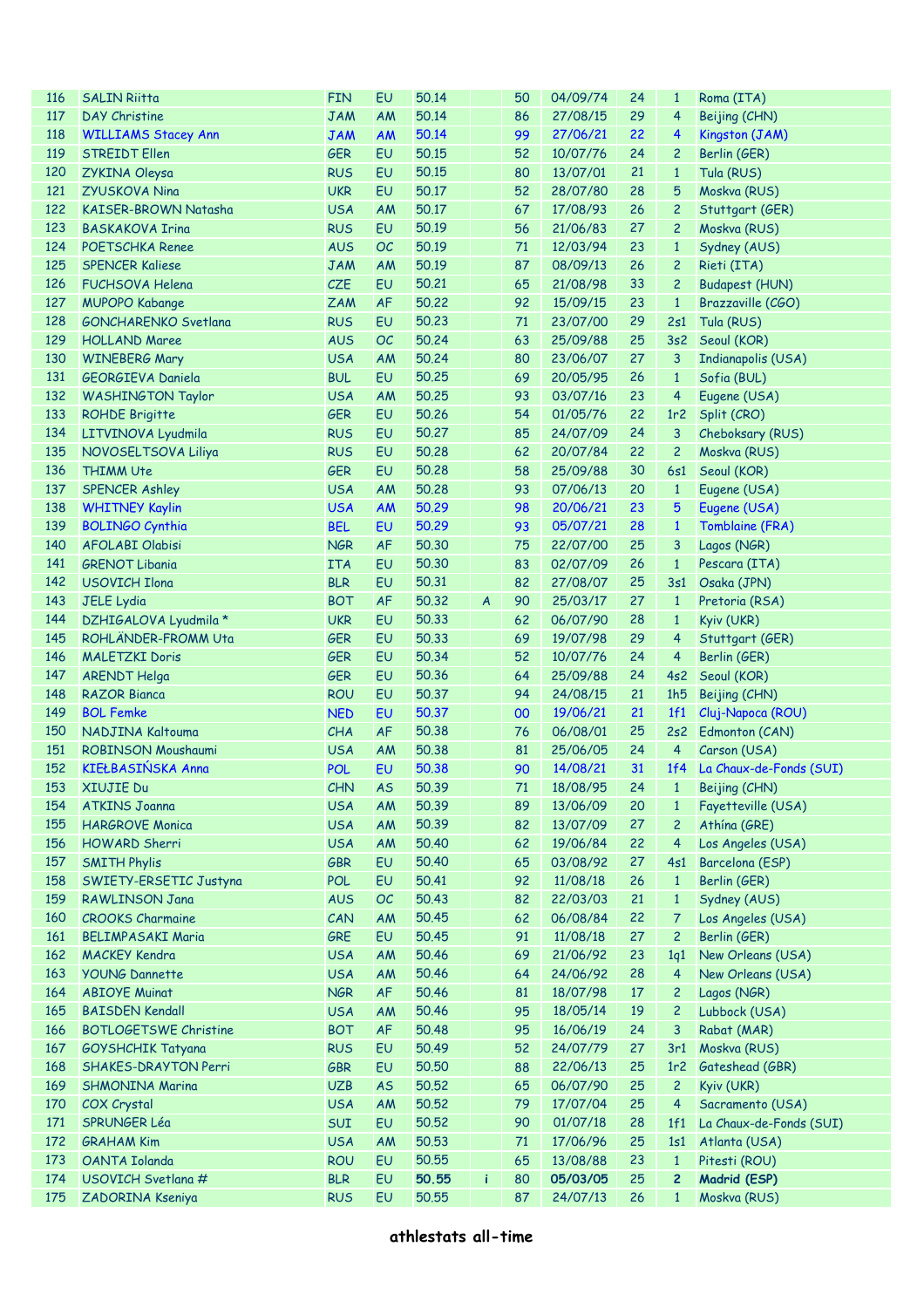| <b>116</b> | <b>SALIN Riitta</b>          | <b>FIN</b> | EU        | 50.14 |                  | 50   | 04/09/74    | 24 | $\mathbf{1}$            | Roma (ITA)                  |
|------------|------------------------------|------------|-----------|-------|------------------|------|-------------|----|-------------------------|-----------------------------|
| 117        | <b>DAY Christine</b>         | <b>JAM</b> | <b>AM</b> | 50.14 |                  | 86   | 27/08/15    | 29 | $\overline{4}$          | Beijing (CHN)               |
| 118        | <b>WILLIAMS Stacey Ann</b>   | <b>JAM</b> | <b>AM</b> | 50.14 |                  | 99   | 27/06/21    | 22 | $\overline{4}$          | Kingston (JAM)              |
| 119        | <b>STREIDT Ellen</b>         | <b>GER</b> | EU        | 50.15 |                  | 52   | 10/07/76    | 24 | $\overline{c}$          | Berlin (GER)                |
| 120        | ZYKINA Oleysa                | <b>RUS</b> | EU        | 50.15 |                  | 80   | 13/07/01    | 21 | $\mathbf{1}$            | Tula (RUS)                  |
| 121        | <b>ZYUSKOVA Nina</b>         | <b>UKR</b> | EU        | 50.17 |                  | 52   | 28/07/80    | 28 | 5                       | Moskva (RUS)                |
| 122        | KAISER-BROWN Natasha         | <b>USA</b> | <b>AM</b> | 50.17 |                  | 67   | 17/08/93    | 26 | $\overline{c}$          | Stuttgart (GER)             |
| 123        | <b>BASKAKOVA Irina</b>       | <b>RUS</b> | EU        | 50.19 |                  | 56   | 21/06/83    | 27 | $\overline{c}$          | Moskva (RUS)                |
| 124        | <b>POETSCHKA Renee</b>       | <b>AUS</b> | OC        | 50.19 |                  | $71$ | 12/03/94    | 23 | $\mathbf{1}$            | Sydney (AUS)                |
| 125        | <b>SPENCER Kaliese</b>       | <b>JAM</b> | AM        | 50.19 |                  | 87   | 08/09/13    | 26 | $\mathbf{2}$            | Rieti (ITA)                 |
| 126        | <b>FUCHSOVA Helena</b>       | CZE        | EU        | 50.21 |                  | 65   | 21/08/98    | 33 | $\overline{c}$          | <b>Budapest (HUN)</b>       |
| 127        | <b>MUPOPO Kabange</b>        | <b>ZAM</b> | AF        | 50.22 |                  | 92   | 15/09/15    | 23 | $\mathbf{1}$            | Brazzaville (CGO)           |
| 128        | GONCHARENKO Svetlana         | <b>RUS</b> | EU        | 50.23 |                  | 71   | 23/07/00    | 29 | 2s1                     | Tula (RUS)                  |
| 129        | <b>HOLLAND Maree</b>         | <b>AUS</b> | OC        | 50.24 |                  | 63   | 25/09/88    | 25 | 3s2                     | Seoul (KOR)                 |
| 130        | <b>WINEBERG Mary</b>         | <b>USA</b> | <b>AM</b> | 50.24 |                  | 80   | 23/06/07    | 27 | 3                       | Indianapolis (USA)          |
| 131        | GEORGIEVA Daniela            | <b>BUL</b> | EU        | 50.25 |                  | 69   | 20/05/95    | 26 | $\mathbf{1}$            | Sofia (BUL)                 |
| 132        | <b>WASHINGTON Taylor</b>     | <b>USA</b> | AM        | 50.25 |                  | 93   | 03/07/16    | 23 | $\overline{4}$          | Eugene (USA)                |
| 133        | <b>ROHDE Brigitte</b>        | <b>GER</b> | EU        | 50.26 |                  | 54   | 01/05/76    | 22 | 1r <sub>2</sub>         | Split (CRO)                 |
| 134        | LITVINOVA Lyudmila           | <b>RUS</b> | EU        | 50.27 |                  | 85   | 24/07/09    | 24 | 3                       | Cheboksary (RUS)            |
| 135        | NOVOSELTSOVA Liliya          | <b>RUS</b> | EU        | 50.28 |                  | 62   | 20/07/84    | 22 | $\overline{c}$          | Moskva (RUS)                |
| 136        | <b>THIMM Ute</b>             | <b>GER</b> | EU        | 50.28 |                  | 58   | 25/09/88    | 30 | 6s1                     | Seoul (KOR)                 |
| 137        | <b>SPENCER Ashley</b>        | <b>USA</b> | <b>AM</b> | 50.28 |                  | 93   | 07/06/13    | 20 | $\mathbf{1}$            | Eugene (USA)                |
| 138        | <b>WHITNEY Kaylin</b>        | <b>USA</b> | <b>AM</b> | 50.29 |                  | 98   | 20/06/21    | 23 | 5                       | Eugene (USA)                |
| 139        | <b>BOLINGO Cynthia</b>       | <b>BEL</b> | EU        | 50.29 |                  | 93   | 05/07/21    | 28 | $\mathbf{1}$            | Tomblaine (FRA)             |
| 140        | <b>AFOLABI Olabisi</b>       | <b>NGR</b> | <b>AF</b> | 50.30 |                  | 75   | 22/07/00    | 25 | 3                       | Lagos (NGR)                 |
|            |                              |            |           |       |                  |      |             |    |                         |                             |
| 141        | <b>GRENOT Libania</b>        | <b>ITA</b> | EU        | 50.30 |                  | 83   | 02/07/09    | 26 | $\mathbf{1}$            | Pescara (ITA)               |
| 142        | <b>USOVICH Ilona</b>         | <b>BLR</b> | EU        | 50.31 |                  | 82   | 27/08/07    | 25 | 3s1                     | Osaka (JPN)                 |
| 143        | <b>JELE Lydia</b>            | <b>BOT</b> | <b>AF</b> | 50.32 | $\boldsymbol{A}$ | 90   | 25/03/17    | 27 | $\mathbf{1}$            | Pretoria (RSA)              |
| 144        | DZHIGALOVA Lyudmila *        | <b>UKR</b> | EU        | 50.33 |                  | 62   | 06/07/90    | 28 | $\mathbf{1}$            | Kyiv (UKR)                  |
| 145        | ROHLÄNDER-FROMM Uta          | <b>GER</b> | EU        | 50.33 |                  | 69   | 19/07/98    | 29 | $\overline{4}$          | Stuttgart (GER)             |
| 146        | <b>MALETZKI Doris</b>        | <b>GER</b> | EU        | 50.34 |                  | 52   | 10/07/76    | 24 | $\overline{4}$          | Berlin (GER)                |
| 147        | <b>ARENDT Helga</b>          | <b>GER</b> | EU        | 50.36 |                  | 64   | 25/09/88    | 24 | 4s2                     | Seoul (KOR)                 |
| 148        | <b>RAZOR Bianca</b>          | <b>ROU</b> | EU        | 50.37 |                  | 94   | 24/08/15    | 21 | 1h5                     | Beijing (CHN)               |
| 149        | <b>BOL Femke</b>             | <b>NED</b> | EU        | 50.37 |                  | 00   | 19/06/21    | 21 | 1f1                     | Cluj-Napoca (ROU)           |
| 150        | NADJINA Kaltouma             | CHA        | <b>AF</b> | 50.38 |                  | 76   | 06/08/01    | 25 | 2s2                     | Edmonton (CAN)              |
| 151        | ROBINSON Moushaumi           | <b>USA</b> | AM        | 50.38 |                  | 81   | 25/06/05    | 24 | $\overline{4}$          | Carson (USA)                |
| 152        | KIEŁBASIŃSKA Anna            | <b>POL</b> | EU        | 50.38 |                  | 90   | 14/08/21    | 31 |                         | 1f4 La Chaux-de-Fonds (SUI) |
|            | 153 XIUJIE Du                | CHN        | <b>AS</b> | 50.39 |                  |      | 71 18/08/95 | 24 |                         | 1 Beijing (CHN)             |
| 154        | <b>ATKINS Joanna</b>         | <b>USA</b> | AM        | 50.39 |                  | 89   | 13/06/09    | 20 | $\mathbf{1}$            | Fayetteville (USA)          |
| 155        | <b>HARGROVE Monica</b>       | <b>USA</b> | AM        | 50.39 |                  | 82   | 13/07/09    | 27 | $\overline{c}$          | Athína (GRE)                |
| 156        | HOWARD Sherri                | <b>USA</b> | AM        | 50.40 |                  | 62   | 19/06/84    | 22 | $\overline{4}$          | Los Angeles (USA)           |
| 157        | <b>SMITH Phylis</b>          | GBR        | EU        | 50.40 |                  | 65   | 03/08/92    | 27 | 4s1                     | Barcelona (ESP)             |
| 158        | SWIETY-ERSETIC Justyna       | <b>POL</b> | EU        | 50.41 |                  | 92   | 11/08/18    | 26 | $\mathbf{1}$            | Berlin (GER)                |
| 159        | <b>RAWLINSON Jana</b>        | <b>AUS</b> | OC        | 50.43 |                  | 82   | 22/03/03    | 21 | $\mathbf{1}$            | Sydney (AUS)                |
| 160        | <b>CROOKS Charmaine</b>      | CAN        | AM        | 50.45 |                  | 62   | 06/08/84    | 22 | 7                       | Los Angeles (USA)           |
| 161        | <b>BELIMPASAKI Maria</b>     | GRE        | EU        | 50.45 |                  | 91   | 11/08/18    | 27 | $\overline{c}$          | Berlin (GER)                |
| 162        | <b>MACKEY Kendra</b>         | <b>USA</b> | AM        | 50.46 |                  | 69   | 21/06/92    | 23 | 1q1                     | New Orleans (USA)           |
| 163        | <b>YOUNG Dannette</b>        | <b>USA</b> | AM        | 50.46 |                  | 64   | 24/06/92    | 28 | $\overline{4}$          | New Orleans (USA)           |
| 164        | <b>ABIOYE Muinat</b>         | <b>NGR</b> | AF        | 50.46 |                  | 81   | 18/07/98    | 17 | $\overline{c}$          | Lagos (NGR)                 |
| 165        | <b>BAISDEN Kendall</b>       | <b>USA</b> | AM        | 50.46 |                  | 95   | 18/05/14    | 19 | $\overline{c}$          | Lubbock (USA)               |
| 166        | <b>BOTLOGETSWE Christine</b> | <b>BOT</b> | <b>AF</b> | 50.48 |                  | 95   | 16/06/19    | 24 | 3                       | Rabat (MAR)                 |
| 167        | <b>GOYSHCHIK Tatyana</b>     | <b>RUS</b> | EU        | 50.49 |                  | 52   | 24/07/79    | 27 | 3r1                     | Moskva (RUS)                |
| 168        | SHAKES-DRAYTON Perri         | <b>GBR</b> | EU        | 50,50 |                  | 88   | 22/06/13    | 25 | 1r <sub>2</sub>         | Gateshead (GBR)             |
| 169        | <b>SHMONINA Marina</b>       | <b>UZB</b> | <b>AS</b> | 50,52 |                  | 65   | 06/07/90    | 25 | $\overline{c}$          | Kyiv (UKR)                  |
| 170        | <b>COX Crystal</b>           | <b>USA</b> | AM        | 50.52 |                  | 79   | 17/07/04    | 25 | $\overline{\mathbf{4}}$ | Sacramento (USA)            |
| 171        | <b>SPRUNGER Léa</b>          | SUI        | EU        | 50,52 |                  | 90   | 01/07/18    | 28 | 1f1                     | La Chaux-de-Fonds (SUI)     |
| 172        | <b>GRAHAM Kim</b>            | <b>USA</b> | AM        | 50.53 |                  | 71   | 17/06/96    | 25 | 1s1                     | Atlanta (USA)               |
| 173        | <b>OANTA Iolanda</b>         | <b>ROU</b> | EU        | 50.55 |                  | 65   | 13/08/88    | 23 | $\mathbf{1}$            | Pitesti (ROU)               |
| 174        | USOVICH Svetlana #           | <b>BLR</b> | EU        | 50.55 | i                | 80   | 05/03/05    | 25 | $\overline{c}$          | Madrid (ESP)                |
| 175        | ZADORINA Kseniya             | <b>RUS</b> | EU        | 50.55 |                  | 87   | 24/07/13    | 26 | $\mathbf{1}$            | Moskva (RUS)                |
|            |                              |            |           |       |                  |      |             |    |                         |                             |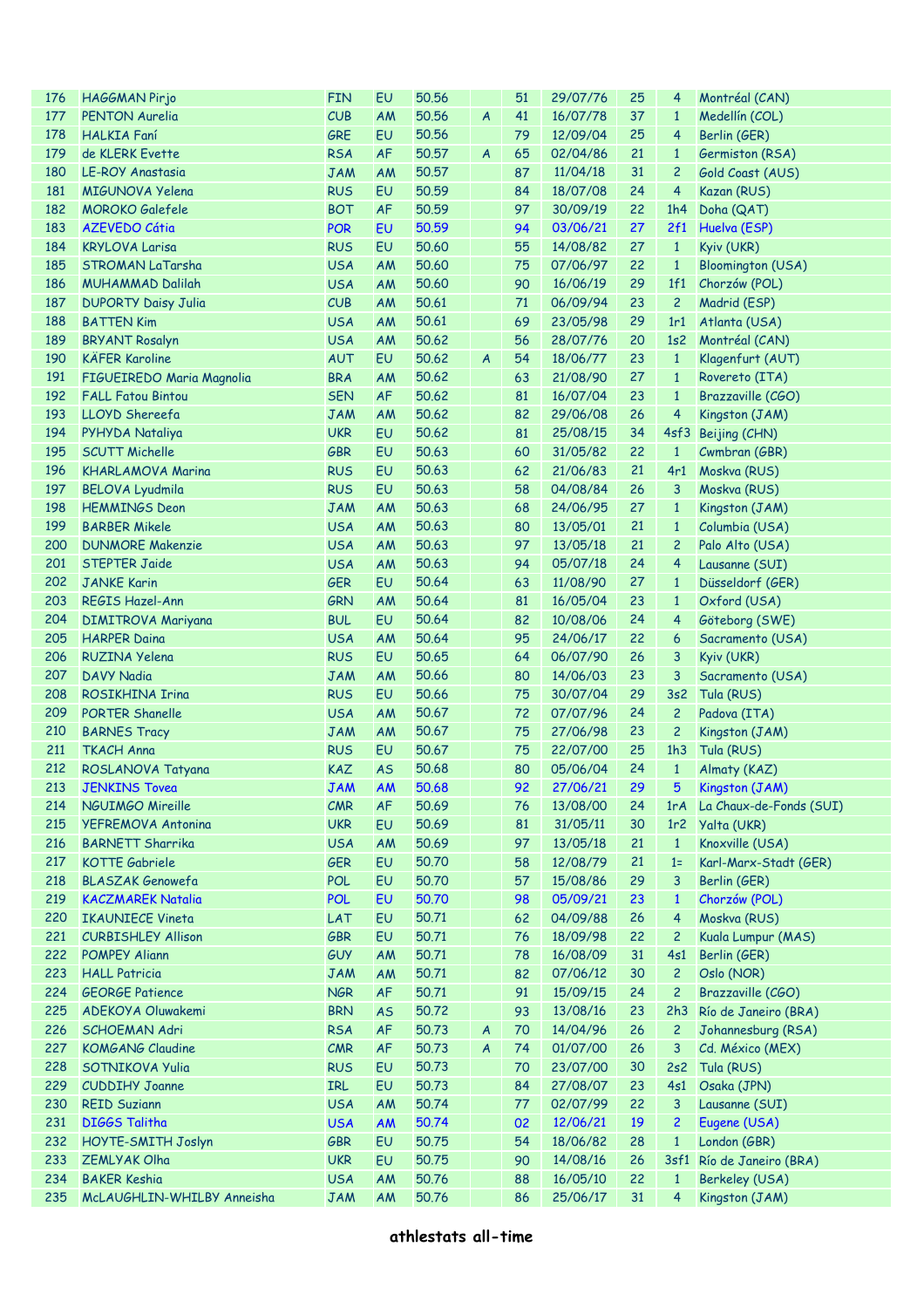| 176 | <b>HAGGMAN Pirjo</b>       | <b>FIN</b> | EU        | 50.56 |                  | 51 | 29/07/76    | 25 | 4               | Montréal (CAN)           |
|-----|----------------------------|------------|-----------|-------|------------------|----|-------------|----|-----------------|--------------------------|
| 177 | <b>PENTON Aurelia</b>      | CUB        | <b>AM</b> | 50.56 | $\boldsymbol{A}$ | 41 | 16/07/78    | 37 | $\mathbf{1}$    | Medellín (COL)           |
| 178 | <b>HALKIA</b> Faní         | GRE        | EU        | 50.56 |                  | 79 | 12/09/04    | 25 | 4               | Berlin (GER)             |
| 179 | de KLERK Evette            | <b>RSA</b> | <b>AF</b> | 50.57 | $\boldsymbol{A}$ | 65 | 02/04/86    | 21 | $\mathbf{1}$    | Germiston (RSA)          |
| 180 | LE-ROY Anastasia           | <b>JAM</b> | AM        | 50.57 |                  | 87 | 11/04/18    | 31 | $\overline{c}$  | Gold Coast (AUS)         |
| 181 | MIGUNOVA Yelena            | <b>RUS</b> | EU        | 50.59 |                  | 84 | 18/07/08    | 24 | $\overline{4}$  | Kazan (RUS)              |
| 182 | <b>MOROKO</b> Galefele     | <b>BOT</b> | <b>AF</b> | 50.59 |                  | 97 | 30/09/19    | 22 | 1h4             | Doha (QAT)               |
| 183 | <b>AZEVEDO Cátia</b>       | <b>POR</b> | EU        | 50.59 |                  | 94 | 03/06/21    | 27 | 2f1             | Huelva (ESP)             |
| 184 | <b>KRYLOVA Larisa</b>      | <b>RUS</b> | EU        | 50.60 |                  | 55 | 14/08/82    | 27 | $\mathbf{1}$    | Kyiv (UKR)               |
| 185 | <b>STROMAN LaTarsha</b>    | <b>USA</b> | AM        | 50.60 |                  | 75 | 07/06/97    | 22 | $\mathbf{1}$    | <b>Bloomington (USA)</b> |
| 186 | <b>MUHAMMAD Dalilah</b>    | <b>USA</b> | AM        | 50.60 |                  | 90 | 16/06/19    | 29 | 1f1             | Chorzów (POL)            |
| 187 | <b>DUPORTY Daisy Julia</b> | CUB        | AM        | 50.61 |                  | 71 | 06/09/94    | 23 | $\overline{c}$  | Madrid (ESP)             |
| 188 | <b>BATTEN Kim</b>          | <b>USA</b> | AM        | 50.61 |                  | 69 | 23/05/98    | 29 | 1r1             | Atlanta (USA)            |
| 189 | <b>BRYANT Rosalyn</b>      | <b>USA</b> | AM        | 50.62 |                  | 56 | 28/07/76    | 20 | 1s2             | Montréal (CAN)           |
| 190 | <b>KÄFER Karoline</b>      | <b>AUT</b> | EU        | 50.62 | $\boldsymbol{A}$ | 54 | 18/06/77    | 23 | $\mathbf{1}$    | Klagenfurt (AUT)         |
| 191 | FIGUEIREDO Maria Magnolia  | <b>BRA</b> | AM        | 50.62 |                  | 63 | 21/08/90    | 27 | $\mathbf{1}$    | Rovereto (ITA)           |
| 192 | <b>FALL Fatou Bintou</b>   | <b>SEN</b> | <b>AF</b> | 50.62 |                  | 81 | 16/07/04    | 23 | $\mathbf{1}$    | Brazzaville (CGO)        |
| 193 | LLOYD Shereefa             | <b>JAM</b> | AM        | 50.62 |                  | 82 | 29/06/08    | 26 | 4               | Kingston (JAM)           |
| 194 | PYHYDA Nataliya            | <b>UKR</b> | EU        | 50.62 |                  | 81 | 25/08/15    | 34 | 4sf3            | Beijing (CHN)            |
| 195 | <b>SCUTT Michelle</b>      | <b>GBR</b> | EU        | 50.63 |                  | 60 | 31/05/82    | 22 | $\mathbf{1}$    | Cwmbran (GBR)            |
| 196 | <b>KHARLAMOVA Marina</b>   | <b>RUS</b> | EU        | 50.63 |                  | 62 | 21/06/83    | 21 | 4r1             | Moskva (RUS)             |
|     |                            |            |           |       |                  |    |             |    |                 |                          |
| 197 | <b>BELOVA Lyudmila</b>     | <b>RUS</b> | EU        | 50.63 |                  | 58 | 04/08/84    | 26 | 3               | Moskva (RUS)             |
| 198 | <b>HEMMINGS Deon</b>       | <b>JAM</b> | AM        | 50.63 |                  | 68 | 24/06/95    | 27 | $\mathbf{1}$    | Kingston (JAM)           |
| 199 | <b>BARBER Mikele</b>       | <b>USA</b> | AM        | 50.63 |                  | 80 | 13/05/01    | 21 | $\mathbf{1}$    | Columbia (USA)           |
| 200 | <b>DUNMORE Makenzie</b>    | <b>USA</b> | AM        | 50.63 |                  | 97 | 13/05/18    | 21 | $\overline{c}$  | Palo Alto (USA)          |
| 201 | <b>STEPTER Jaide</b>       | <b>USA</b> | AM        | 50.63 |                  | 94 | 05/07/18    | 24 | 4               | Lausanne (SUI)           |
| 202 | <b>JANKE Karin</b>         | <b>GER</b> | EU        | 50.64 |                  | 63 | 11/08/90    | 27 | $\mathbf{1}$    | Düsseldorf (GER)         |
| 203 | <b>REGIS Hazel-Ann</b>     | <b>GRN</b> | AM        | 50.64 |                  | 81 | 16/05/04    | 23 | $\mathbf{1}$    | Oxford (USA)             |
| 204 | <b>DIMITROVA Mariyana</b>  | <b>BUL</b> | EU        | 50.64 |                  | 82 | 10/08/06    | 24 | 4               | Göteborg (SWE)           |
| 205 | <b>HARPER Daina</b>        | <b>USA</b> | AM        | 50.64 |                  | 95 | 24/06/17    | 22 | 6               | Sacramento (USA)         |
| 206 | <b>RUZINA Yelena</b>       | <b>RUS</b> | EU        | 50.65 |                  | 64 | 06/07/90    | 26 | 3               | Kyiv (UKR)               |
| 207 | <b>DAVY Nadia</b>          | <b>JAM</b> | AM        | 50.66 |                  | 80 | 14/06/03    | 23 | 3               | Sacramento (USA)         |
| 208 | <b>ROSIKHINA Irina</b>     | <b>RUS</b> | EU        | 50.66 |                  | 75 | 30/07/04    | 29 | 3s2             | Tula (RUS)               |
| 209 | PORTER Shanelle            | <b>USA</b> | AM        | 50.67 |                  | 72 | 07/07/96    | 24 | $\overline{c}$  | Padova (ITA)             |
| 210 | <b>BARNES Tracy</b>        | <b>JAM</b> | AM        | 50.67 |                  | 75 | 27/06/98    | 23 | $\overline{c}$  | Kingston (JAM)           |
| 211 | <b>TKACH Anna</b>          | <b>RUS</b> | EU        | 50.67 |                  | 75 | 22/07/00    | 25 | 1h3             | Tula (RUS)               |
| 212 | ROSLANOVA Tatyana          | <b>KAZ</b> | <b>AS</b> | 50.68 |                  | 80 | 05/06/04    | 24 | $\mathbf{1}$    | Almaty (KAZ)             |
|     | 213 JENKINS Tovea          | <b>JAM</b> | <b>AM</b> | 50.68 |                  |    | 92 27/06/21 | 29 |                 | 5 Kingston (JAM)         |
| 214 | <b>NGUIMGO Mireille</b>    | <b>CMR</b> | AF        | 50.69 |                  | 76 | 13/08/00    | 24 | 1rA             | La Chaux-de-Fonds (SUI)  |
| 215 | YEFREMOVA Antonina         | <b>UKR</b> | EU        | 50.69 |                  | 81 | 31/05/11    | 30 | 1r <sub>2</sub> | Yalta (UKR)              |
| 216 | <b>BARNETT Sharrika</b>    | <b>USA</b> | AM        | 50.69 |                  | 97 | 13/05/18    | 21 | $\mathbf{1}$    | Knoxville (USA)          |
| 217 | <b>KOTTE Gabriele</b>      | <b>GER</b> | EU        | 50.70 |                  | 58 | 12/08/79    | 21 | $1=$            | Karl-Marx-Stadt (GER)    |
| 218 | <b>BLASZAK Genowefa</b>    | POL        | EU        | 50.70 |                  | 57 | 15/08/86    | 29 | 3               | Berlin (GER)             |
| 219 | <b>KACZMAREK Natalia</b>   | <b>POL</b> | EU        | 50.70 |                  | 98 | 05/09/21    | 23 | $\mathbf{1}$    | Chorzów (POL)            |
| 220 | <b>IKAUNIECE Vineta</b>    | LAT        | EU        | 50.71 |                  | 62 | 04/09/88    | 26 | 4               | Moskva (RUS)             |
| 221 | <b>CURBISHLEY Allison</b>  | <b>GBR</b> | EU        | 50.71 |                  | 76 | 18/09/98    | 22 | $\overline{c}$  | Kuala Lumpur (MAS)       |
| 222 | <b>POMPEY Aliann</b>       | <b>GUY</b> | AM        | 50.71 |                  | 78 | 16/08/09    | 31 | 4s1             | Berlin (GER)             |
| 223 | <b>HALL Patricia</b>       | <b>JAM</b> | AM        | 50.71 |                  | 82 | 07/06/12    | 30 | $\overline{c}$  | Oslo (NOR)               |
| 224 | <b>GEORGE Patience</b>     | <b>NGR</b> | AF        | 50.71 |                  | 91 | 15/09/15    | 24 | $\overline{c}$  | Brazzaville (CGO)        |
| 225 | ADEKOYA Oluwakemi          | <b>BRN</b> | <b>AS</b> | 50.72 |                  | 93 | 13/08/16    | 23 | 2h3             | Río de Janeiro (BRA)     |
| 226 | <b>SCHOEMAN Adri</b>       | <b>RSA</b> | <b>AF</b> | 50.73 | A                | 70 | 14/04/96    | 26 | $\overline{c}$  | Johannesburg (RSA)       |
| 227 | <b>KOMGANG Claudine</b>    | CMR        | AF        | 50.73 | $\boldsymbol{A}$ | 74 | 01/07/00    | 26 | 3               | Cd. México (MEX)         |
| 228 | SOTNIKOVA Yulia            | <b>RUS</b> | EU        | 50.73 |                  | 70 | 23/07/00    | 30 | 2s2             | Tula (RUS)               |
| 229 | <b>CUDDIHY Joanne</b>      | IRL        | EU        | 50.73 |                  | 84 | 27/08/07    | 23 | 4s1             | Osaka (JPN)              |
| 230 | <b>REID Suziann</b>        | <b>USA</b> | <b>AM</b> | 50.74 |                  | 77 | 02/07/99    | 22 | 3               | Lausanne (SUI)           |
| 231 | <b>DIGGS Talitha</b>       | <b>USA</b> | <b>AM</b> | 50.74 |                  | 02 | 12/06/21    | 19 | $\overline{c}$  | Eugene (USA)             |
| 232 | HOYTE-SMITH Joslyn         | <b>GBR</b> | EU        | 50.75 |                  | 54 | 18/06/82    | 28 | $\mathbf{1}$    | London (GBR)             |
| 233 | <b>ZEMLYAK Olha</b>        | <b>UKR</b> | EU        | 50.75 |                  | 90 | 14/08/16    | 26 | 3sf1            | Río de Janeiro (BRA)     |
| 234 | <b>BAKER Keshia</b>        | <b>USA</b> | <b>AM</b> | 50.76 |                  | 88 | 16/05/10    | 22 | $\mathbf{1}$    | <b>Berkeley (USA)</b>    |
| 235 | McLAUGHLIN-WHILBY Anneisha |            | AM        | 50.76 |                  | 86 | 25/06/17    | 31 | 4               | Kingston (JAM)           |
|     |                            | <b>JAM</b> |           |       |                  |    |             |    |                 |                          |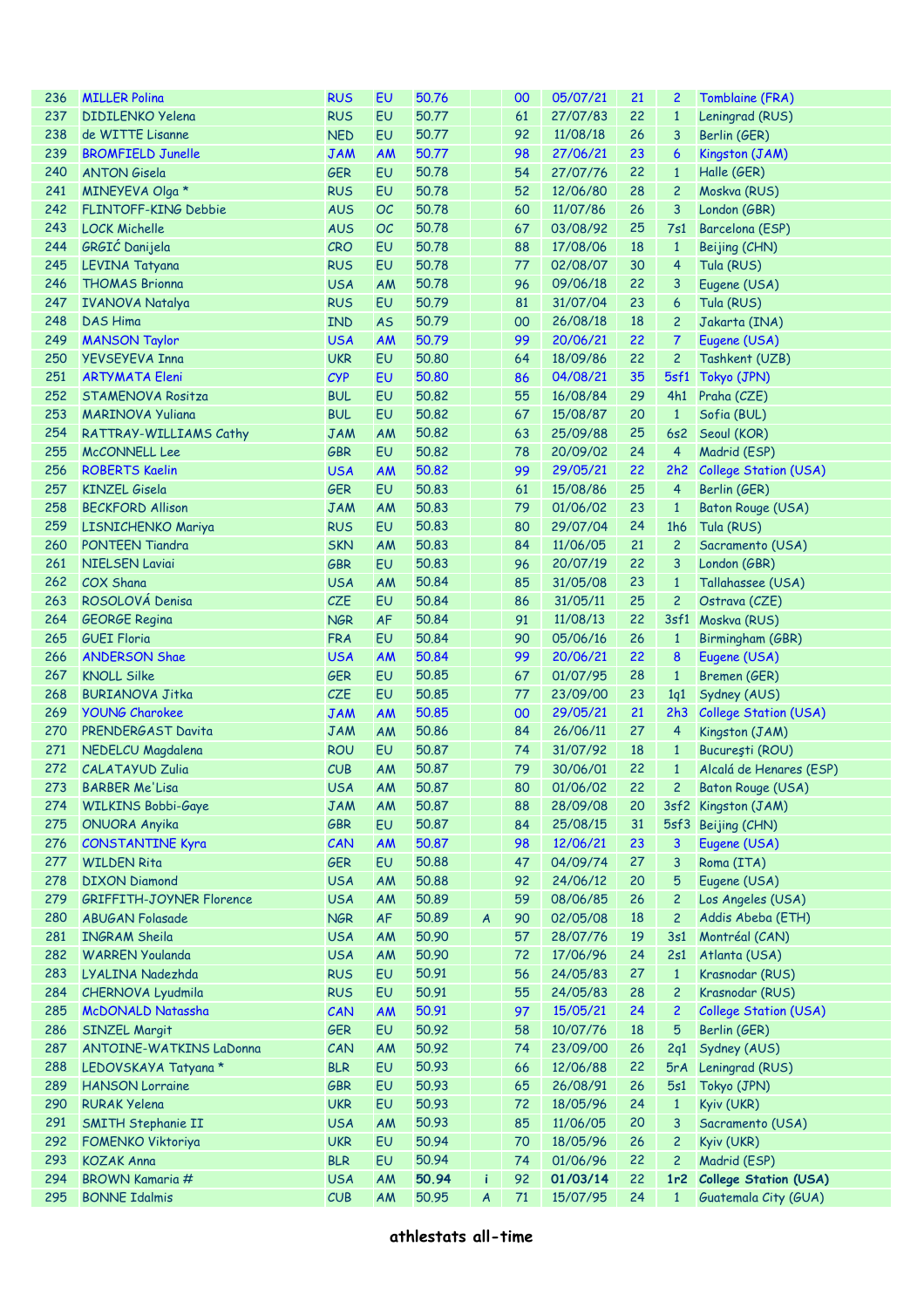| 236 | <b>MILLER Polina</b>            | <b>RUS</b> | EU        | 50.76 |                  | 00 | 05/07/21 | 21 | 2                | Tomblaine (FRA)                    |
|-----|---------------------------------|------------|-----------|-------|------------------|----|----------|----|------------------|------------------------------------|
| 237 | <b>DIDILENKO Yelena</b>         | <b>RUS</b> | EU        | 50.77 |                  | 61 | 27/07/83 | 22 | $\mathbf{1}$     | Leningrad (RUS)                    |
| 238 | de WITTE Lisanne                | <b>NED</b> | EU        | 50.77 |                  | 92 | 11/08/18 | 26 | 3                | Berlin (GER)                       |
| 239 | <b>BROMFIELD Junelle</b>        | <b>JAM</b> | <b>AM</b> | 50.77 |                  | 98 | 27/06/21 | 23 | $\boldsymbol{6}$ | Kingston (JAM)                     |
| 240 | <b>ANTON Gisela</b>             | <b>GER</b> | EU        | 50.78 |                  | 54 | 27/07/76 | 22 | $\mathbf{1}$     | Halle (GER)                        |
| 241 | MINEYEVA Olga *                 | <b>RUS</b> | EU        | 50.78 |                  | 52 | 12/06/80 | 28 | $\overline{c}$   | Moskva (RUS)                       |
| 242 | FLINTOFF-KING Debbie            | <b>AUS</b> | OC        | 50.78 |                  | 60 | 11/07/86 | 26 | $\mathbf{3}$     | London (GBR)                       |
| 243 | <b>LOCK Michelle</b>            | <b>AUS</b> | OC        | 50.78 |                  | 67 | 03/08/92 | 25 | 7s1              | Barcelona (ESP)                    |
| 244 | GRGIĆ Danijela                  | <b>CRO</b> | EU        | 50.78 |                  | 88 | 17/08/06 | 18 | $\mathbf{1}$     | Beijing (CHN)                      |
| 245 | LEVINA Tatyana                  | <b>RUS</b> | EU        | 50.78 |                  | 77 | 02/08/07 | 30 | $\overline{4}$   | Tula (RUS)                         |
| 246 | <b>THOMAS Brionna</b>           | <b>USA</b> | <b>AM</b> | 50,78 |                  | 96 | 09/06/18 | 22 | 3                | Eugene (USA)                       |
| 247 | <b>IVANOVA Natalya</b>          | <b>RUS</b> | EU        | 50.79 |                  | 81 | 31/07/04 | 23 | 6                | Tula (RUS)                         |
| 248 | <b>DAS Hima</b>                 | <b>IND</b> | <b>AS</b> | 50.79 |                  | 00 | 26/08/18 | 18 | $\overline{c}$   | Jakarta (INA)                      |
| 249 | <b>MANSON Taylor</b>            | <b>USA</b> | <b>AM</b> | 50.79 |                  | 99 | 20/06/21 | 22 | $\overline{7}$   | Eugene (USA)                       |
| 250 | <b>YEVSEYEVA Inna</b>           | <b>UKR</b> | EU        | 50.80 |                  | 64 | 18/09/86 | 22 | $\overline{c}$   | Tashkent (UZB)                     |
| 251 | <b>ARTYMATA Eleni</b>           | <b>CYP</b> | <b>EU</b> | 50.80 |                  | 86 | 04/08/21 | 35 |                  |                                    |
|     | <b>STAMENOVA Rositza</b>        |            |           |       |                  |    |          |    | 5sf1             | Tokyo (JPN)                        |
| 252 |                                 | <b>BUL</b> | EU        | 50.82 |                  | 55 | 16/08/84 | 29 | 4h1              | Praha (CZE)                        |
| 253 | <b>MARINOVA Yuliana</b>         | <b>BUL</b> | EU        | 50.82 |                  | 67 | 15/08/87 | 20 | $\mathbf{1}$     | Sofia (BUL)                        |
| 254 | RATTRAY-WILLIAMS Cathy          | <b>JAM</b> | AM        | 50.82 |                  | 63 | 25/09/88 | 25 | 6s2              | Seoul (KOR)                        |
| 255 | McCONNELL Lee                   | <b>GBR</b> | EU        | 50.82 |                  | 78 | 20/09/02 | 24 | $\overline{4}$   | Madrid (ESP)                       |
| 256 | <b>ROBERTS Kaelin</b>           | <b>USA</b> | <b>AM</b> | 50.82 |                  | 99 | 29/05/21 | 22 | 2h2              | College Station (USA)              |
| 257 | <b>KINZEL Gisela</b>            | <b>GER</b> | EU        | 50.83 |                  | 61 | 15/08/86 | 25 | $\overline{4}$   | Berlin (GER)                       |
| 258 | <b>BECKFORD Allison</b>         | <b>JAM</b> | <b>AM</b> | 50.83 |                  | 79 | 01/06/02 | 23 | $\mathbf{1}$     | Baton Rouge (USA)                  |
| 259 | LISNICHENKO Mariya              | <b>RUS</b> | EU        | 50.83 |                  | 80 | 29/07/04 | 24 | 1h6              | Tula (RUS)                         |
| 260 | <b>PONTEEN Tiandra</b>          | <b>SKN</b> | AM        | 50.83 |                  | 84 | 11/06/05 | 21 | $\overline{c}$   | Sacramento (USA)                   |
| 261 | <b>NIELSEN Laviai</b>           | <b>GBR</b> | EU        | 50.83 |                  | 96 | 20/07/19 | 22 | 3                | London (GBR)                       |
| 262 | COX Shana                       | <b>USA</b> | <b>AM</b> | 50.84 |                  | 85 | 31/05/08 | 23 | $\mathbf{1}$     | Tallahassee (USA)                  |
| 263 | ROSOLOVÁ Denisa                 | CZE        | EU        | 50.84 |                  | 86 | 31/05/11 | 25 | $\overline{c}$   | Ostrava (CZE)                      |
| 264 | <b>GEORGE Regina</b>            | <b>NGR</b> | AF        | 50.84 |                  | 91 | 11/08/13 | 22 |                  | 3sf1 Moskva (RUS)                  |
| 265 | <b>GUEI Floria</b>              | <b>FRA</b> | EU        | 50.84 |                  | 90 | 05/06/16 | 26 | $\mathbf{1}$     | Birmingham (GBR)                   |
| 266 | <b>ANDERSON Shae</b>            | <b>USA</b> | <b>AM</b> | 50.84 |                  | 99 | 20/06/21 | 22 | 8                | Eugene (USA)                       |
| 267 | <b>KNOLL Silke</b>              | <b>GER</b> | EU        | 50.85 |                  | 67 | 01/07/95 | 28 | $\mathbf{1}$     | Bremen (GER)                       |
| 268 | <b>BURIANOVA Jitka</b>          | CZE        | EU        | 50.85 |                  | 77 | 23/09/00 | 23 | 1q1              | Sydney (AUS)                       |
| 269 | <b>YOUNG Charokee</b>           | <b>JAM</b> | <b>AM</b> | 50.85 |                  | 00 | 29/05/21 | 21 | 2h3              | College Station (USA)              |
| 270 | PRENDERGAST Davita              | <b>JAM</b> | AM        | 50.86 |                  | 84 | 26/06/11 | 27 | $\overline{4}$   | Kingston (JAM)                     |
| 271 | NEDELCU Magdalena               | <b>ROU</b> | EU        | 50.87 |                  | 74 | 31/07/92 | 18 | $\mathbf{1}$     | București (ROU)                    |
| 272 | <b>CALATAYUD Zulia</b>          | CUB        | <b>AM</b> | 50.87 |                  | 79 | 30/06/01 | 22 | $\mathbf{1}$     | Alcalá de Henares (ESP)            |
|     | 273 BARBER Me'Lisa              | <b>USA</b> | AM        | 50.87 |                  |    |          |    |                  | 80 01/06/02 22 2 Baton Rouge (USA) |
| 274 | <b>WILKINS Bobbi-Gaye</b>       | <b>JAM</b> | AM        | 50.87 |                  | 88 | 28/09/08 | 20 |                  | 3sf2 Kingston (JAM)                |
| 275 | ONUORA Anyika                   | GBR        | EU        | 50.87 |                  | 84 | 25/08/15 | 31 | 5sf3             | Beijing (CHN)                      |
| 276 | <b>CONSTANTINE Kyra</b>         | CAN        | <b>AM</b> | 50.87 |                  | 98 | 12/06/21 | 23 | 3                | Eugene (USA)                       |
| 277 | <b>WILDEN Rita</b>              | <b>GER</b> | EU        | 50.88 |                  | 47 | 04/09/74 | 27 | 3                | Roma (ITA)                         |
| 278 | <b>DIXON Diamond</b>            |            | AM        | 50.88 |                  | 92 | 24/06/12 | 20 | 5                | Eugene (USA)                       |
|     |                                 | <b>USA</b> |           |       |                  |    |          |    |                  |                                    |
| 279 | <b>GRIFFITH-JOYNER Florence</b> | <b>USA</b> | AM        | 50.89 |                  | 59 | 08/06/85 | 26 | $\overline{c}$   | Los Angeles (USA)                  |
| 280 | <b>ABUGAN Folasade</b>          | <b>NGR</b> | AF        | 50.89 | A                | 90 | 02/05/08 | 18 | $\overline{c}$   | Addis Abeba (ETH)                  |
| 281 | <b>INGRAM Sheila</b>            | <b>USA</b> | AM        | 50.90 |                  | 57 | 28/07/76 | 19 | 3s1              | Montréal (CAN)                     |
| 282 | <b>WARREN Youlanda</b>          | <b>USA</b> | <b>AM</b> | 50.90 |                  | 72 | 17/06/96 | 24 | 2s1              | Atlanta (USA)                      |
| 283 | LYALINA Nadezhda                | <b>RUS</b> | EU        | 50.91 |                  | 56 | 24/05/83 | 27 | $\mathbf{1}$     | Krasnodar (RUS)                    |
| 284 | CHERNOVA Lyudmila               | <b>RUS</b> | EU        | 50.91 |                  | 55 | 24/05/83 | 28 | $\overline{c}$   | Krasnodar (RUS)                    |
| 285 | McDONALD Natassha               | CAN        | <b>AM</b> | 50.91 |                  | 97 | 15/05/21 | 24 | $\overline{c}$   | College Station (USA)              |
| 286 | SINZEL Margit                   | <b>GER</b> | EU        | 50.92 |                  | 58 | 10/07/76 | 18 | 5                | Berlin (GER)                       |
| 287 | <b>ANTOINE-WATKINS LaDonna</b>  | CAN        | AM        | 50.92 |                  | 74 | 23/09/00 | 26 | 2q1              | Sydney (AUS)                       |
| 288 | LEDOVSKAYA Tatyana *            | <b>BLR</b> | EU        | 50.93 |                  | 66 | 12/06/88 | 22 | 5rA              | Leningrad (RUS)                    |
| 289 | <b>HANSON Lorraine</b>          | <b>GBR</b> | EU        | 50.93 |                  | 65 | 26/08/91 | 26 | 5s1              | Tokyo (JPN)                        |
| 290 | <b>RURAK Yelena</b>             | <b>UKR</b> | EU        | 50.93 |                  | 72 | 18/05/96 | 24 | $\mathbf{1}$     | Kyiv (UKR)                         |
| 291 | SMITH Stephanie II              | <b>USA</b> | AM        | 50.93 |                  | 85 | 11/06/05 | 20 | 3                | Sacramento (USA)                   |
| 292 | <b>FOMENKO Viktoriya</b>        | <b>UKR</b> | EU        | 50.94 |                  | 70 | 18/05/96 | 26 | $\overline{c}$   | Kyiv (UKR)                         |
| 293 | <b>KOZAK Anna</b>               | <b>BLR</b> | EU        | 50.94 |                  | 74 | 01/06/96 | 22 | $\overline{c}$   | Madrid (ESP)                       |
| 294 | <b>BROWN Kamaria #</b>          | <b>USA</b> | AM        | 50.94 | i                | 92 | 01/03/14 | 22 | 1r2              | <b>College Station (USA)</b>       |
| 295 | <b>BONNE Idalmis</b>            | CUB        | <b>AM</b> | 50.95 | $\boldsymbol{A}$ | 71 | 15/07/95 | 24 | $\mathbf{1}$     | Guatemala City (GUA)               |
|     |                                 |            |           |       |                  |    |          |    |                  |                                    |